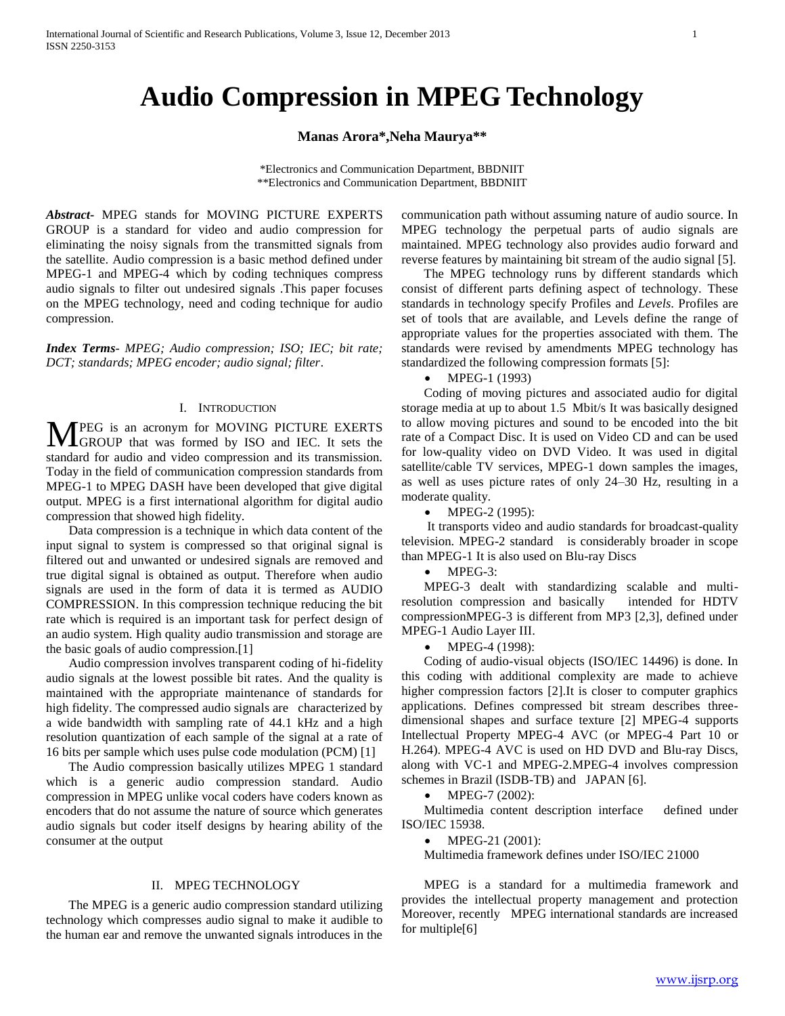# **Audio Compression in MPEG Technology**

# **Manas Arora\*,Neha Maurya\*\***

\*Electronics and Communication Department, BBDNIIT \*\*Electronics and Communication Department, BBDNIIT

*Abstract***-** MPEG stands for MOVING PICTURE EXPERTS GROUP is a standard for video and audio compression for eliminating the noisy signals from the transmitted signals from the satellite. Audio compression is a basic method defined under MPEG-1 and MPEG-4 which by coding techniques compress audio signals to filter out undesired signals .This paper focuses on the MPEG technology, need and coding technique for audio compression.

*Index Terms*- *MPEG; Audio compression; ISO; IEC; bit rate; DCT; standards; MPEG encoder; audio signal; filter*.

## I. INTRODUCTION

**M**PEG is an acronym for MOVING PICTURE EXERTS GROUP that was formed by ISO and IEC. It sets the GROUP that was formed by ISO and IEC. It sets the standard for audio and video compression and its transmission. Today in the field of communication compression standards from MPEG-1 to MPEG DASH have been developed that give digital output. MPEG is a first international algorithm for digital audio compression that showed high fidelity.

 Data compression is a technique in which data content of the input signal to system is compressed so that original signal is filtered out and unwanted or undesired signals are removed and true digital signal is obtained as output. Therefore when audio signals are used in the form of data it is termed as AUDIO COMPRESSION. In this compression technique reducing the bit rate which is required is an important task for perfect design of an audio system. High quality audio transmission and storage are the basic goals of audio compression.[1]

 Audio compression involves transparent coding of hi-fidelity audio signals at the lowest possible bit rates. And the quality is maintained with the appropriate maintenance of standards for high fidelity. The compressed audio signals are characterized by a wide bandwidth with sampling rate of 44.1 kHz and a high resolution quantization of each sample of the signal at a rate of 16 bits per sample which uses pulse code modulation (PCM) [1]

 The Audio compression basically utilizes MPEG 1 standard which is a generic audio compression standard. Audio compression in MPEG unlike vocal coders have coders known as encoders that do not assume the nature of source which generates audio signals but coder itself designs by hearing ability of the consumer at the output

## II. MPEG TECHNOLOGY

 The MPEG is a generic audio compression standard utilizing technology which compresses audio signal to make it audible to the human ear and remove the unwanted signals introduces in the communication path without assuming nature of audio source. In MPEG technology the perpetual parts of audio signals are maintained. MPEG technology also provides audio forward and reverse features by maintaining bit stream of the audio signal [5].

 The MPEG technology runs by different standards which consist of different parts defining aspect of technology. These standards in technology specify Profiles and *Levels*. Profiles are set of tools that are available, and Levels define the range of appropriate values for the properties associated with them. The standards were revised by amendments MPEG technology has standardized the following compression formats [5]:

MPEG-1 (1993)

 Coding of moving pictures and associated audio for digital storage media at up to about 1.5 Mbit/s It was basically designed to allow moving pictures and sound to be encoded into the bit rate of a Compact Disc. It is used on Video CD and can be used for low-quality video on DVD Video. It was used in digital satellite/cable TV services, MPEG-1 down samples the images, as well as uses picture rates of only 24–30 Hz, resulting in a moderate quality.

MPEG-2 (1995):

 It transports video and audio standards for broadcast-quality television. MPEG-2 standard is considerably broader in scope than MPEG-1 It is also used on Blu-ray Discs

• MPEG-3:

 MPEG-3 dealt with standardizing scalable and multiresolution compression and basically intended for HDTV compressionMPEG-3 is different from MP3 [2,3], defined under MPEG-1 Audio Layer III.

MPEG-4 (1998):

 Coding of audio-visual objects (ISO/IEC 14496) is done. In this coding with additional complexity are made to achieve higher compression factors [2].It is closer to computer graphics applications. Defines compressed bit stream describes threedimensional shapes and surface texture [2] MPEG-4 supports Intellectual Property MPEG-4 AVC (or MPEG-4 Part 10 or H.264). MPEG-4 AVC is used on HD DVD and Blu-ray Discs, along with VC-1 and MPEG-2.MPEG-4 involves compression schemes in Brazil (ISDB-TB) and JAPAN [6].

MPEG-7 (2002):

 Multimedia content description interface defined under ISO/IEC 15938.

• MPEG-21 (2001):

Multimedia framework defines under ISO/IEC 21000

 MPEG is a standard for a multimedia framework and provides the intellectual property management and protection Moreover, recently MPEG international standards are increased for multiple[6]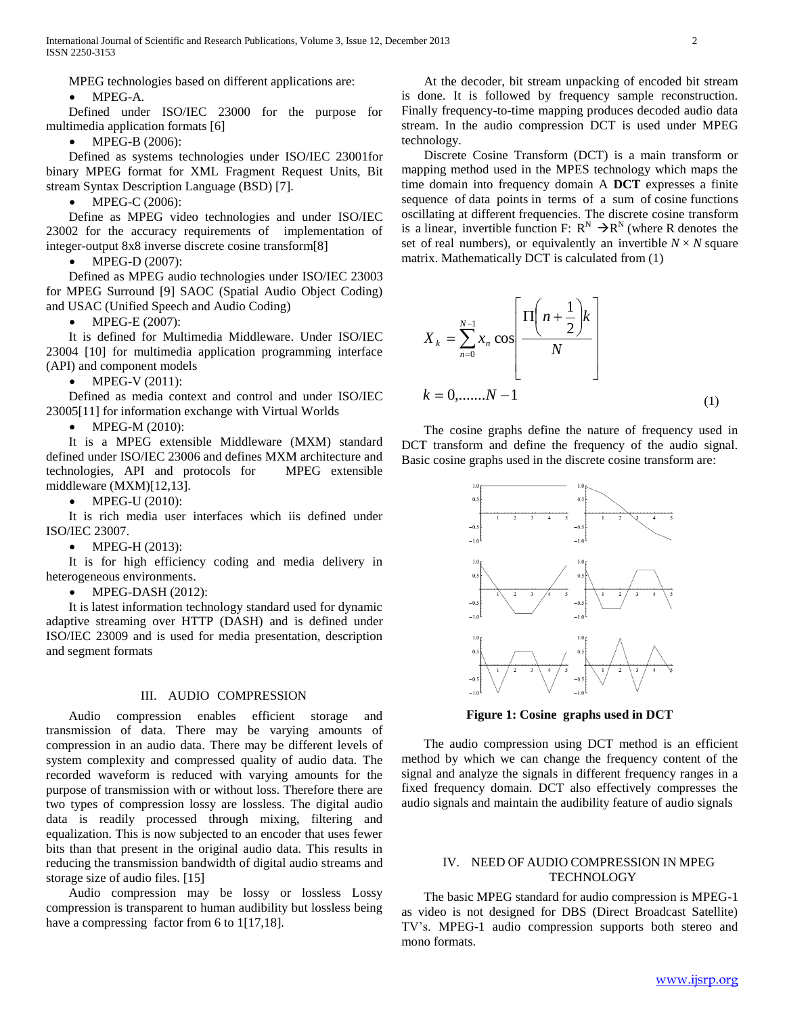MPEG technologies based on different applications are:

MPEG-A.

 Defined under ISO/IEC 23000 for the purpose for multimedia application formats [6]

MPEG-B (2006):

 Defined as systems technologies under ISO/IEC 23001for binary MPEG format for XML Fragment Request Units, Bit stream Syntax Description Language (BSD) [7].

• MPEG-C (2006):

 Define as MPEG video technologies and under ISO/IEC 23002 for the accuracy requirements of implementation of integer-output 8x8 inverse discrete cosine transform[8]

• MPEG-D (2007):

 Defined as MPEG audio technologies under ISO/IEC 23003 for MPEG Surround [9] SAOC (Spatial Audio Object Coding) and USAC (Unified Speech and Audio Coding)

MPEG-E (2007):

 It is defined for Multimedia Middleware. Under ISO/IEC 23004 [10] for multimedia application programming interface (API) and component models

• MPEG-V (2011):

 Defined as media context and control and under ISO/IEC 23005[11] for information exchange with Virtual Worlds

• MPEG-M  $(2010)$ :

 It is a MPEG extensible Middleware (MXM) standard defined under ISO/IEC 23006 and defines MXM architecture and technologies, API and protocols for MPEG extensible middleware (MXM)[12,13].

• MPEG-U (2010):

 It is rich media user interfaces which iis defined under ISO/IEC 23007.

• MPEG-H (2013):

 It is for high efficiency coding and media delivery in heterogeneous environments.

 $\bullet$  MPEG-DASH (2012):

 It is latest information technology standard used for dynamic adaptive streaming over HTTP (DASH) and is defined under ISO/IEC 23009 and is used for media presentation, description and segment formats

## III. AUDIO COMPRESSION

 Audio compression enables efficient storage and transmission of data. There may be varying amounts of compression in an audio data. There may be different levels of system complexity and compressed quality of audio data. The recorded waveform is reduced with varying amounts for the purpose of transmission with or without loss. Therefore there are two types of compression lossy are lossless. The digital audio data is readily processed through mixing, filtering and equalization. This is now subjected to an encoder that uses fewer bits than that present in the original audio data. This results in reducing the transmission bandwidth of digital audio streams and storage size of audio files. [15]

 Audio compression may be lossy or lossless Lossy compression is transparent to human audibility but lossless being have a compressing factor from 6 to 1[17,18].

 At the decoder, bit stream unpacking of encoded bit stream is done. It is followed by frequency sample reconstruction. Finally frequency-to-time mapping produces decoded audio data stream. In the audio compression DCT is used under MPEG technology.

 Discrete Cosine Transform (DCT) is a main transform or mapping method used in the MPES technology which maps the time domain into frequency domain A **DCT** expresses a finite sequence of data points in terms of a sum of cosine functions oscillating at different frequencies. The discrete cosine transform is a linear, invertible function F:  $R^N \rightarrow R^N$  (where R denotes the set of real numbers), or equivalently an invertible  $N \times N$  square matrix. Mathematically DCT is calculated from (1)



 The cosine graphs define the nature of frequency used in DCT transform and define the frequency of the audio signal. Basic cosine graphs used in the discrete cosine transform are:



**Figure 1: Cosine graphs used in DCT**

 The audio compression using DCT method is an efficient method by which we can change the frequency content of the signal and analyze the signals in different frequency ranges in a fixed frequency domain. DCT also effectively compresses the audio signals and maintain the audibility feature of audio signals

# IV. NEED OF AUDIO COMPRESSION IN MPEG **TECHNOLOGY**

 The basic MPEG standard for audio compression is MPEG-1 as video is not designed for DBS (Direct Broadcast Satellite) TV's. MPEG-1 audio compression supports both stereo and mono formats.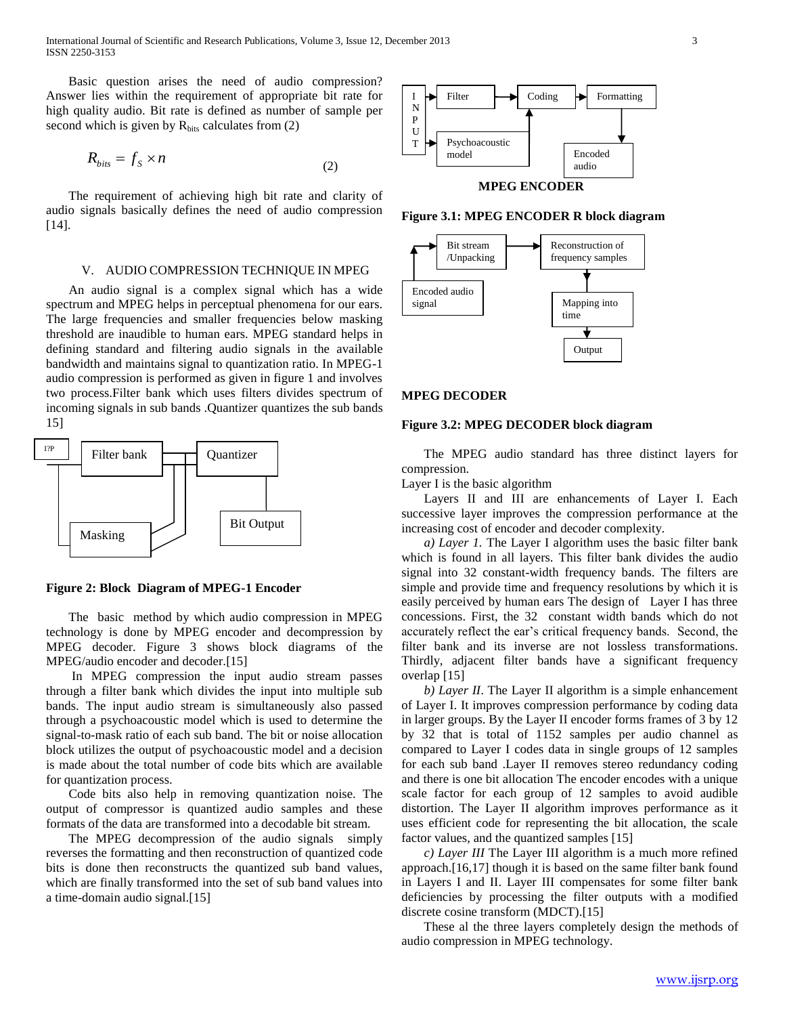International Journal of Scientific and Research Publications, Volume 3, Issue 12, December 2013 3 ISSN 2250-3153

 Basic question arises the need of audio compression? Answer lies within the requirement of appropriate bit rate for high quality audio. Bit rate is defined as number of sample per second which is given by  $R_{bits}$  calculates from (2)

$$
R_{bits} = f_s \times n \tag{2}
$$

 The requirement of achieving high bit rate and clarity of audio signals basically defines the need of audio compression [14].

## V. AUDIO COMPRESSION TECHNIQUE IN MPEG

 An audio signal is a complex signal which has a wide spectrum and MPEG helps in perceptual phenomena for our ears. The large frequencies and smaller frequencies below masking threshold are inaudible to human ears. MPEG standard helps in defining standard and filtering audio signals in the available bandwidth and maintains signal to quantization ratio. In MPEG-1 audio compression is performed as given in figure 1 and involves two process.Filter bank which uses filters divides spectrum of incoming signals in sub bands .Quantizer quantizes the sub bands 15]



**Figure 2: Block Diagram of MPEG-1 Encoder**

 The basic method by which audio compression in MPEG technology is done by MPEG encoder and decompression by MPEG decoder. Figure 3 shows block diagrams of the MPEG/audio encoder and decoder.[15]

 In MPEG compression the input audio stream passes through a filter bank which divides the input into multiple sub bands. The input audio stream is simultaneously also passed through a psychoacoustic model which is used to determine the signal-to-mask ratio of each sub band. The bit or noise allocation block utilizes the output of psychoacoustic model and a decision is made about the total number of code bits which are available for quantization process.

 Code bits also help in removing quantization noise. The output of compressor is quantized audio samples and these formats of the data are transformed into a decodable bit stream.

 The MPEG decompression of the audio signals simply reverses the formatting and then reconstruction of quantized code bits is done then reconstructs the quantized sub band values, which are finally transformed into the set of sub band values into a time-domain audio signal.[15]



**Figure 3.1: MPEG ENCODER R block diagram**



#### **MPEG DECODER**

# **Figure 3.2: MPEG DECODER block diagram**

 The MPEG audio standard has three distinct layers for compression.

Layer I is the basic algorithm

 Layers II and III are enhancements of Layer I. Each successive layer improves the compression performance at the increasing cost of encoder and decoder complexity.

 *a) Layer 1.* The Layer I algorithm uses the basic filter bank which is found in all layers. This filter bank divides the audio signal into 32 constant-width frequency bands. The filters are simple and provide time and frequency resolutions by which it is easily perceived by human ears The design of Layer I has three concessions. First, the 32 constant width bands which do not accurately reflect the ear's critical frequency bands. Second, the filter bank and its inverse are not lossless transformations. Thirdly, adjacent filter bands have a significant frequency overlap [15]

 *b) Layer II*. The Layer II algorithm is a simple enhancement of Layer I. It improves compression performance by coding data in larger groups. By the Layer II encoder forms frames of 3 by 12 by 32 that is total of 1152 samples per audio channel as compared to Layer I codes data in single groups of 12 samples for each sub band .Layer II removes stereo redundancy coding and there is one bit allocation The encoder encodes with a unique scale factor for each group of 12 samples to avoid audible distortion. The Layer II algorithm improves performance as it uses efficient code for representing the bit allocation, the scale factor values, and the quantized samples [15]

 *c) Layer III* The Layer III algorithm is a much more refined approach.[16,17] though it is based on the same filter bank found in Layers I and II. Layer III compensates for some filter bank deficiencies by processing the filter outputs with a modified discrete cosine transform (MDCT).[15]

 These al the three layers completely design the methods of audio compression in MPEG technology.